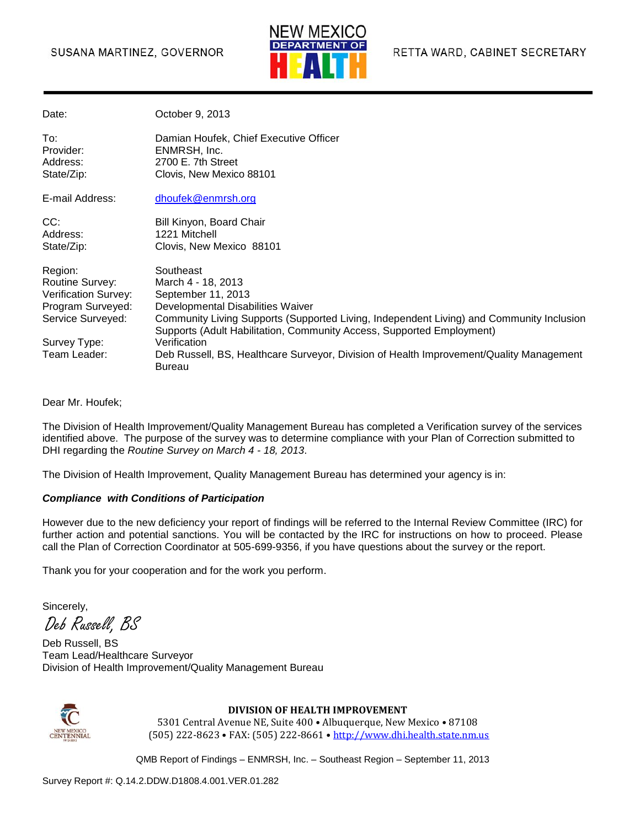### SUSANA MARTINEZ, GOVERNOR



| Date:                                                                                                                                      | October 9, 2013                                                                                                                                                                                                                                                                                                                                                                             |
|--------------------------------------------------------------------------------------------------------------------------------------------|---------------------------------------------------------------------------------------------------------------------------------------------------------------------------------------------------------------------------------------------------------------------------------------------------------------------------------------------------------------------------------------------|
| To:<br>Provider:<br>Address:<br>State/Zip:                                                                                                 | Damian Houfek, Chief Executive Officer<br>ENMRSH, Inc.<br>2700 E. 7th Street<br>Clovis, New Mexico 88101                                                                                                                                                                                                                                                                                    |
| E-mail Address:                                                                                                                            | dhoufek@enmrsh.org                                                                                                                                                                                                                                                                                                                                                                          |
| CC:<br>Address:<br>State/Zip:                                                                                                              | Bill Kinyon, Board Chair<br>1221 Mitchell<br>Clovis, New Mexico 88101                                                                                                                                                                                                                                                                                                                       |
| Region:<br><b>Routine Survey:</b><br><b>Verification Survey:</b><br>Program Surveyed:<br>Service Surveyed:<br>Survey Type:<br>Team Leader: | Southeast<br>March 4 - 18, 2013<br>September 11, 2013<br>Developmental Disabilities Waiver<br>Community Living Supports (Supported Living, Independent Living) and Community Inclusion<br>Supports (Adult Habilitation, Community Access, Supported Employment)<br>Verification<br>Deb Russell, BS, Healthcare Surveyor, Division of Health Improvement/Quality Management<br><b>Bureau</b> |

Dear Mr. Houfek;

The Division of Health Improvement/Quality Management Bureau has completed a Verification survey of the services identified above. The purpose of the survey was to determine compliance with your Plan of Correction submitted to DHI regarding the *Routine Survey on March 4 - 18, 2013*.

The Division of Health Improvement, Quality Management Bureau has determined your agency is in:

#### *Compliance with Conditions of Participation*

However due to the new deficiency your report of findings will be referred to the Internal Review Committee (IRC) for further action and potential sanctions. You will be contacted by the IRC for instructions on how to proceed. Please call the Plan of Correction Coordinator at 505-699-9356, if you have questions about the survey or the report.

Thank you for your cooperation and for the work you perform.

Sincerely,

Deb Russell, BS

Deb Russell, BS Team Lead/Healthcare Surveyor Division of Health Improvement/Quality Management Bureau



#### **DIVISION OF HEALTH IMPROVEMENT**

5301 Central Avenue NE, Suite 400 • Albuquerque, New Mexico • 87108 (505) 222-8623 • FAX: (505) 222-8661 • http://www.dhi.health.state.nm.us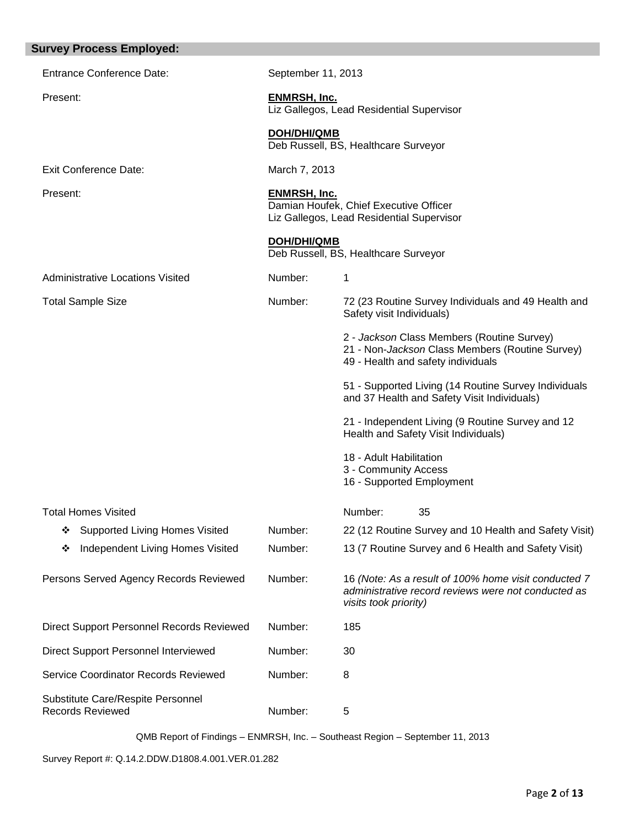| <b>Survey Process Employed:</b>                              |                     |                                                                                                                                      |
|--------------------------------------------------------------|---------------------|--------------------------------------------------------------------------------------------------------------------------------------|
| <b>Entrance Conference Date:</b>                             | September 11, 2013  |                                                                                                                                      |
| Present:                                                     | <b>ENMRSH, Inc.</b> | Liz Gallegos, Lead Residential Supervisor                                                                                            |
|                                                              | <b>DOH/DHI/QMB</b>  | Deb Russell, BS, Healthcare Surveyor                                                                                                 |
| <b>Exit Conference Date:</b>                                 | March 7, 2013       |                                                                                                                                      |
| Present:                                                     | <b>ENMRSH, Inc.</b> | Damian Houfek, Chief Executive Officer<br>Liz Gallegos, Lead Residential Supervisor                                                  |
|                                                              | <b>DOH/DHI/QMB</b>  | Deb Russell, BS, Healthcare Surveyor                                                                                                 |
| Administrative Locations Visited                             | Number:             | 1                                                                                                                                    |
| <b>Total Sample Size</b>                                     | Number:             | 72 (23 Routine Survey Individuals and 49 Health and<br>Safety visit Individuals)                                                     |
|                                                              |                     | 2 - Jackson Class Members (Routine Survey)<br>21 - Non-Jackson Class Members (Routine Survey)<br>49 - Health and safety individuals  |
|                                                              |                     | 51 - Supported Living (14 Routine Survey Individuals<br>and 37 Health and Safety Visit Individuals)                                  |
|                                                              |                     | 21 - Independent Living (9 Routine Survey and 12<br>Health and Safety Visit Individuals)                                             |
|                                                              |                     | 18 - Adult Habilitation                                                                                                              |
|                                                              |                     | 3 - Community Access<br>16 - Supported Employment                                                                                    |
| Total Homes Visited                                          |                     | Number:<br>35                                                                                                                        |
| Supported Living Homes Visited<br>❖                          | Number:             | 22 (12 Routine Survey and 10 Health and Safety Visit)                                                                                |
| Independent Living Homes Visited<br>❖                        | Number:             | 13 (7 Routine Survey and 6 Health and Safety Visit)                                                                                  |
| Persons Served Agency Records Reviewed                       | Number:             | 16 (Note: As a result of 100% home visit conducted 7<br>administrative record reviews were not conducted as<br>visits took priority) |
| <b>Direct Support Personnel Records Reviewed</b>             | Number:             | 185                                                                                                                                  |
| Direct Support Personnel Interviewed                         | Number:             | 30                                                                                                                                   |
| Service Coordinator Records Reviewed                         | Number:             | 8                                                                                                                                    |
| Substitute Care/Respite Personnel<br><b>Records Reviewed</b> | Number:             | 5                                                                                                                                    |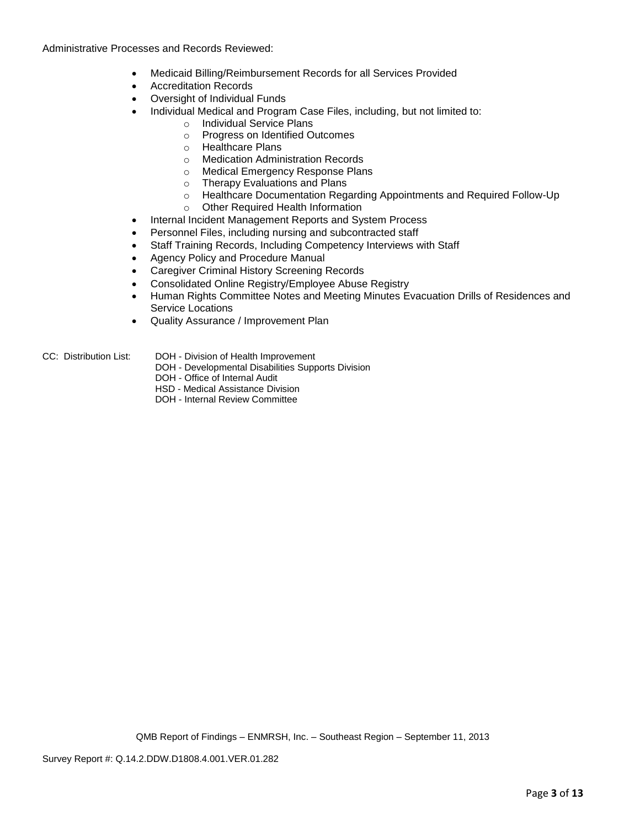Administrative Processes and Records Reviewed:

- Medicaid Billing/Reimbursement Records for all Services Provided
- Accreditation Records
- Oversight of Individual Funds
- Individual Medical and Program Case Files, including, but not limited to:
	- o Individual Service Plans
	- o Progress on Identified Outcomes
	- o Healthcare Plans
	- o Medication Administration Records
	- o Medical Emergency Response Plans
	- o Therapy Evaluations and Plans
	- o Healthcare Documentation Regarding Appointments and Required Follow-Up
	- o Other Required Health Information
- Internal Incident Management Reports and System Process
- Personnel Files, including nursing and subcontracted staff
- Staff Training Records, Including Competency Interviews with Staff
- Agency Policy and Procedure Manual
- Caregiver Criminal History Screening Records
- Consolidated Online Registry/Employee Abuse Registry
- Human Rights Committee Notes and Meeting Minutes Evacuation Drills of Residences and Service Locations
- Quality Assurance / Improvement Plan
- CC: Distribution List: DOH Division of Health Improvement
	- DOH Developmental Disabilities Supports Division
	- DOH Office of Internal Audit
	- HSD Medical Assistance Division
	- DOH Internal Review Committee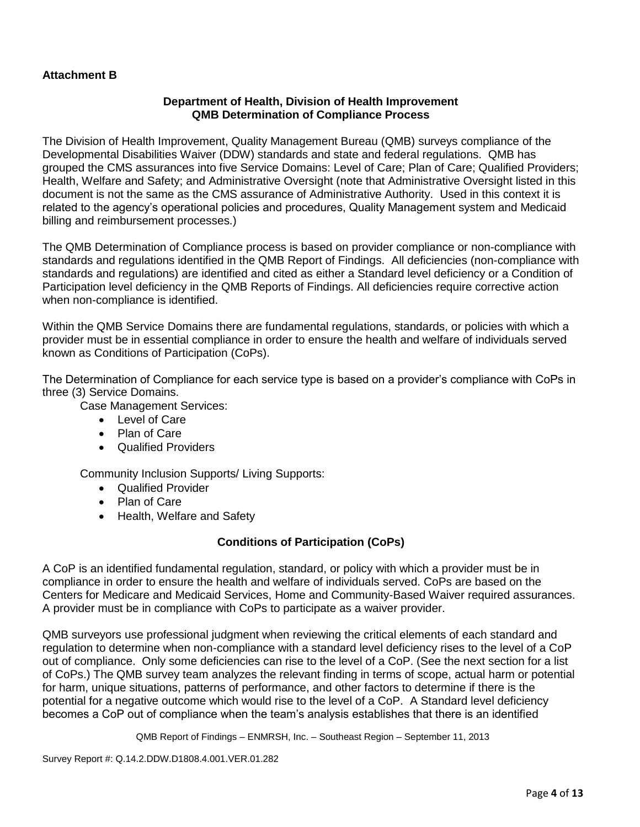# **Attachment B**

# **Department of Health, Division of Health Improvement QMB Determination of Compliance Process**

The Division of Health Improvement, Quality Management Bureau (QMB) surveys compliance of the Developmental Disabilities Waiver (DDW) standards and state and federal regulations. QMB has grouped the CMS assurances into five Service Domains: Level of Care; Plan of Care; Qualified Providers; Health, Welfare and Safety; and Administrative Oversight (note that Administrative Oversight listed in this document is not the same as the CMS assurance of Administrative Authority. Used in this context it is related to the agency's operational policies and procedures, Quality Management system and Medicaid billing and reimbursement processes.)

The QMB Determination of Compliance process is based on provider compliance or non-compliance with standards and regulations identified in the QMB Report of Findings. All deficiencies (non-compliance with standards and regulations) are identified and cited as either a Standard level deficiency or a Condition of Participation level deficiency in the QMB Reports of Findings. All deficiencies require corrective action when non-compliance is identified.

Within the QMB Service Domains there are fundamental regulations, standards, or policies with which a provider must be in essential compliance in order to ensure the health and welfare of individuals served known as Conditions of Participation (CoPs).

The Determination of Compliance for each service type is based on a provider's compliance with CoPs in three (3) Service Domains.

Case Management Services:

- Level of Care
- Plan of Care
- Qualified Providers

Community Inclusion Supports/ Living Supports:

- Qualified Provider
- Plan of Care
- Health, Welfare and Safety

# **Conditions of Participation (CoPs)**

A CoP is an identified fundamental regulation, standard, or policy with which a provider must be in compliance in order to ensure the health and welfare of individuals served. CoPs are based on the Centers for Medicare and Medicaid Services, Home and Community-Based Waiver required assurances. A provider must be in compliance with CoPs to participate as a waiver provider.

QMB surveyors use professional judgment when reviewing the critical elements of each standard and regulation to determine when non-compliance with a standard level deficiency rises to the level of a CoP out of compliance. Only some deficiencies can rise to the level of a CoP. (See the next section for a list of CoPs.) The QMB survey team analyzes the relevant finding in terms of scope, actual harm or potential for harm, unique situations, patterns of performance, and other factors to determine if there is the potential for a negative outcome which would rise to the level of a CoP. A Standard level deficiency becomes a CoP out of compliance when the team's analysis establishes that there is an identified

QMB Report of Findings – ENMRSH, Inc. – Southeast Region – September 11, 2013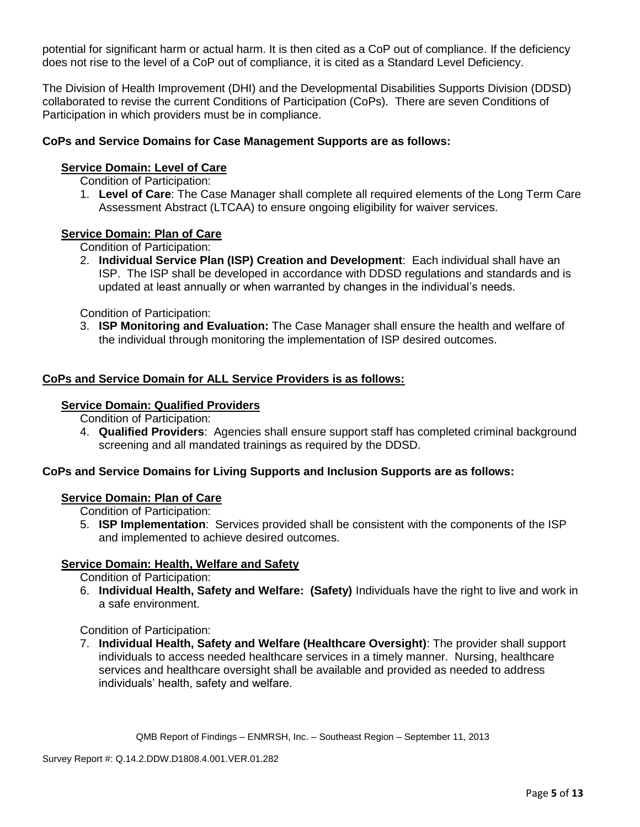potential for significant harm or actual harm. It is then cited as a CoP out of compliance. If the deficiency does not rise to the level of a CoP out of compliance, it is cited as a Standard Level Deficiency.

The Division of Health Improvement (DHI) and the Developmental Disabilities Supports Division (DDSD) collaborated to revise the current Conditions of Participation (CoPs). There are seven Conditions of Participation in which providers must be in compliance.

# **CoPs and Service Domains for Case Management Supports are as follows:**

# **Service Domain: Level of Care**

Condition of Participation:

1. **Level of Care**: The Case Manager shall complete all required elements of the Long Term Care Assessment Abstract (LTCAA) to ensure ongoing eligibility for waiver services.

### **Service Domain: Plan of Care**

Condition of Participation:

2. **Individual Service Plan (ISP) Creation and Development**: Each individual shall have an ISP. The ISP shall be developed in accordance with DDSD regulations and standards and is updated at least annually or when warranted by changes in the individual's needs.

Condition of Participation:

3. **ISP Monitoring and Evaluation:** The Case Manager shall ensure the health and welfare of the individual through monitoring the implementation of ISP desired outcomes.

### **CoPs and Service Domain for ALL Service Providers is as follows:**

#### **Service Domain: Qualified Providers**

Condition of Participation:

4. **Qualified Providers**: Agencies shall ensure support staff has completed criminal background screening and all mandated trainings as required by the DDSD.

# **CoPs and Service Domains for Living Supports and Inclusion Supports are as follows:**

### **Service Domain: Plan of Care**

Condition of Participation:

5. **ISP Implementation**: Services provided shall be consistent with the components of the ISP and implemented to achieve desired outcomes.

### **Service Domain: Health, Welfare and Safety**

Condition of Participation:

6. **Individual Health, Safety and Welfare: (Safety)** Individuals have the right to live and work in a safe environment.

### Condition of Participation:

7. **Individual Health, Safety and Welfare (Healthcare Oversight)**: The provider shall support individuals to access needed healthcare services in a timely manner. Nursing, healthcare services and healthcare oversight shall be available and provided as needed to address individuals' health, safety and welfare.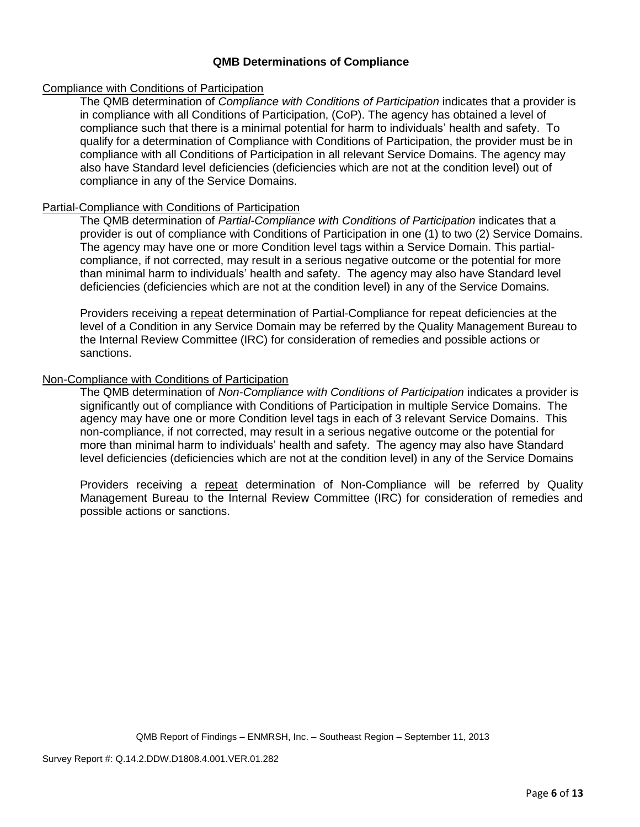# **QMB Determinations of Compliance**

# Compliance with Conditions of Participation

The QMB determination of *Compliance with Conditions of Participation* indicates that a provider is in compliance with all Conditions of Participation, (CoP). The agency has obtained a level of compliance such that there is a minimal potential for harm to individuals' health and safety. To qualify for a determination of Compliance with Conditions of Participation, the provider must be in compliance with all Conditions of Participation in all relevant Service Domains. The agency may also have Standard level deficiencies (deficiencies which are not at the condition level) out of compliance in any of the Service Domains.

### Partial-Compliance with Conditions of Participation

The QMB determination of *Partial-Compliance with Conditions of Participation* indicates that a provider is out of compliance with Conditions of Participation in one (1) to two (2) Service Domains. The agency may have one or more Condition level tags within a Service Domain. This partialcompliance, if not corrected, may result in a serious negative outcome or the potential for more than minimal harm to individuals' health and safety. The agency may also have Standard level deficiencies (deficiencies which are not at the condition level) in any of the Service Domains.

Providers receiving a repeat determination of Partial-Compliance for repeat deficiencies at the level of a Condition in any Service Domain may be referred by the Quality Management Bureau to the Internal Review Committee (IRC) for consideration of remedies and possible actions or sanctions.

### Non-Compliance with Conditions of Participation

The QMB determination of *Non-Compliance with Conditions of Participation* indicates a provider is significantly out of compliance with Conditions of Participation in multiple Service Domains. The agency may have one or more Condition level tags in each of 3 relevant Service Domains. This non-compliance, if not corrected, may result in a serious negative outcome or the potential for more than minimal harm to individuals' health and safety. The agency may also have Standard level deficiencies (deficiencies which are not at the condition level) in any of the Service Domains

Providers receiving a repeat determination of Non-Compliance will be referred by Quality Management Bureau to the Internal Review Committee (IRC) for consideration of remedies and possible actions or sanctions.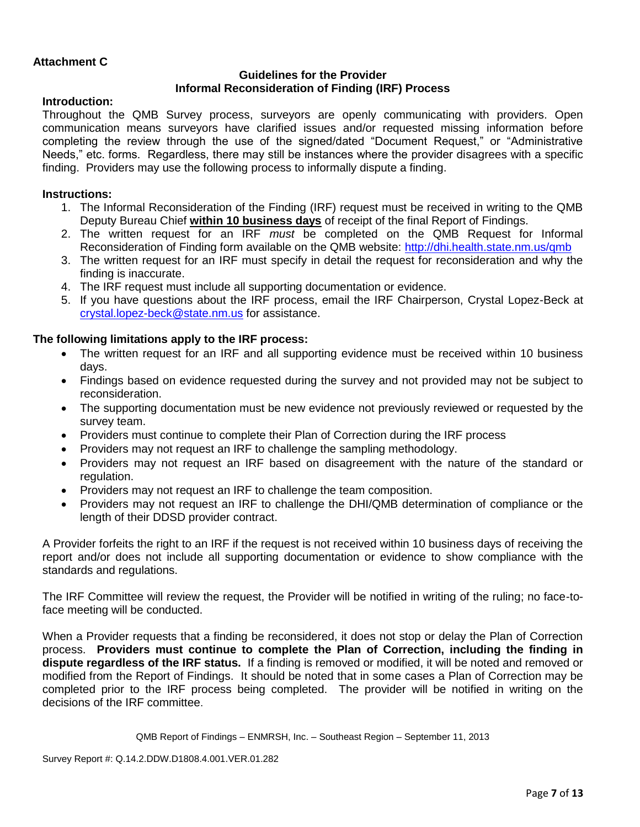# **Attachment C**

# **Guidelines for the Provider Informal Reconsideration of Finding (IRF) Process**

# **Introduction:**

Throughout the QMB Survey process, surveyors are openly communicating with providers. Open communication means surveyors have clarified issues and/or requested missing information before completing the review through the use of the signed/dated "Document Request," or "Administrative Needs," etc. forms. Regardless, there may still be instances where the provider disagrees with a specific finding. Providers may use the following process to informally dispute a finding.

# **Instructions:**

- 1. The Informal Reconsideration of the Finding (IRF) request must be received in writing to the QMB Deputy Bureau Chief **within 10 business days** of receipt of the final Report of Findings.
- 2. The written request for an IRF *must* be completed on the QMB Request for Informal Reconsideration of Finding form available on the QMB website:<http://dhi.health.state.nm.us/qmb>
- 3. The written request for an IRF must specify in detail the request for reconsideration and why the finding is inaccurate.
- 4. The IRF request must include all supporting documentation or evidence.
- 5. If you have questions about the IRF process, email the IRF Chairperson, Crystal Lopez-Beck at [crystal.lopez-beck@state.nm.us](mailto:crystal.lopez-beck@state.nm.us) for assistance.

# **The following limitations apply to the IRF process:**

- The written request for an IRF and all supporting evidence must be received within 10 business days.
- Findings based on evidence requested during the survey and not provided may not be subject to reconsideration.
- The supporting documentation must be new evidence not previously reviewed or requested by the survey team.
- Providers must continue to complete their Plan of Correction during the IRF process
- Providers may not request an IRF to challenge the sampling methodology.
- Providers may not request an IRF based on disagreement with the nature of the standard or regulation.
- Providers may not request an IRF to challenge the team composition.
- Providers may not request an IRF to challenge the DHI/QMB determination of compliance or the length of their DDSD provider contract.

A Provider forfeits the right to an IRF if the request is not received within 10 business days of receiving the report and/or does not include all supporting documentation or evidence to show compliance with the standards and regulations.

The IRF Committee will review the request, the Provider will be notified in writing of the ruling; no face-toface meeting will be conducted.

When a Provider requests that a finding be reconsidered, it does not stop or delay the Plan of Correction process. **Providers must continue to complete the Plan of Correction, including the finding in dispute regardless of the IRF status.** If a finding is removed or modified, it will be noted and removed or modified from the Report of Findings. It should be noted that in some cases a Plan of Correction may be completed prior to the IRF process being completed. The provider will be notified in writing on the decisions of the IRF committee.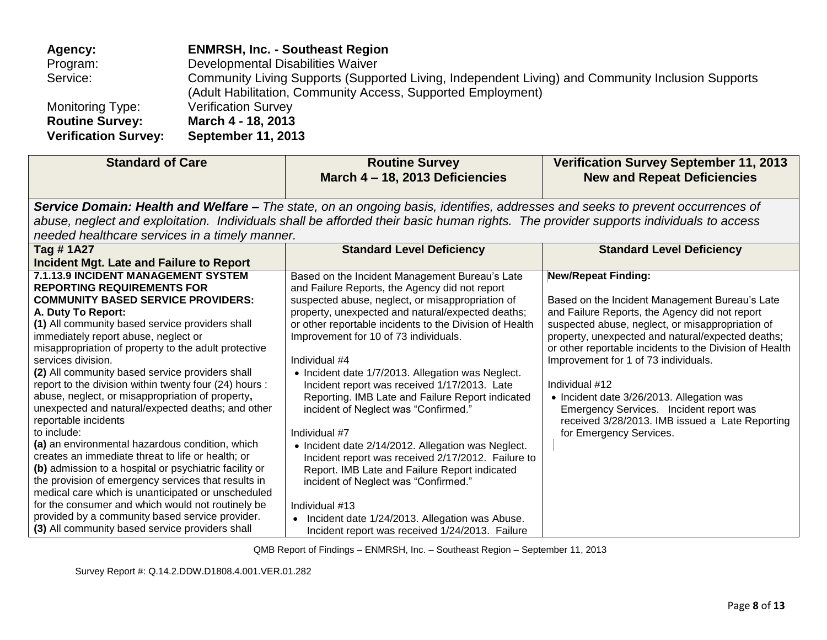| Agency:                     | <b>ENMRSH, Inc. - Southeast Region</b>                                                            |
|-----------------------------|---------------------------------------------------------------------------------------------------|
| Program:                    | Developmental Disabilities Waiver                                                                 |
| Service:                    | Community Living Supports (Supported Living, Independent Living) and Community Inclusion Supports |
|                             | (Adult Habilitation, Community Access, Supported Employment)                                      |
| Monitoring Type:            | <b>Verification Survey</b>                                                                        |
| <b>Routine Survey:</b>      | March 4 - 18, 2013                                                                                |
| <b>Verification Survey:</b> | <b>September 11, 2013</b>                                                                         |

| <b>Standard of Care</b>                                                                                                                                                                                                                                                                                                                                                                                                                                                                                                                                                                                                                                                                                                                                                                                                                                                                                                                                                                                                     | <b>Routine Survey</b><br>March 4 - 18, 2013 Deficiencies                                                                                                                                                                                                                                                                                                                                                                                                                                                                                                                                                                                                                                                                                                                                                                                                                     | <b>Verification Survey September 11, 2013</b><br><b>New and Repeat Deficiencies</b>                                                                                                                                                                                                                                                                                                                                                                                                                                                |
|-----------------------------------------------------------------------------------------------------------------------------------------------------------------------------------------------------------------------------------------------------------------------------------------------------------------------------------------------------------------------------------------------------------------------------------------------------------------------------------------------------------------------------------------------------------------------------------------------------------------------------------------------------------------------------------------------------------------------------------------------------------------------------------------------------------------------------------------------------------------------------------------------------------------------------------------------------------------------------------------------------------------------------|------------------------------------------------------------------------------------------------------------------------------------------------------------------------------------------------------------------------------------------------------------------------------------------------------------------------------------------------------------------------------------------------------------------------------------------------------------------------------------------------------------------------------------------------------------------------------------------------------------------------------------------------------------------------------------------------------------------------------------------------------------------------------------------------------------------------------------------------------------------------------|------------------------------------------------------------------------------------------------------------------------------------------------------------------------------------------------------------------------------------------------------------------------------------------------------------------------------------------------------------------------------------------------------------------------------------------------------------------------------------------------------------------------------------|
| needed healthcare services in a timely manner.                                                                                                                                                                                                                                                                                                                                                                                                                                                                                                                                                                                                                                                                                                                                                                                                                                                                                                                                                                              | Service Domain: Health and Welfare – The state, on an ongoing basis, identifies, addresses and seeks to prevent occurrences of<br>abuse, neglect and exploitation. Individuals shall be afforded their basic human rights. The provider supports individuals to access                                                                                                                                                                                                                                                                                                                                                                                                                                                                                                                                                                                                       |                                                                                                                                                                                                                                                                                                                                                                                                                                                                                                                                    |
| Tag #1A27<br>Incident Mgt. Late and Failure to Report                                                                                                                                                                                                                                                                                                                                                                                                                                                                                                                                                                                                                                                                                                                                                                                                                                                                                                                                                                       | <b>Standard Level Deficiency</b>                                                                                                                                                                                                                                                                                                                                                                                                                                                                                                                                                                                                                                                                                                                                                                                                                                             | <b>Standard Level Deficiency</b>                                                                                                                                                                                                                                                                                                                                                                                                                                                                                                   |
| 7.1.13.9 INCIDENT MANAGEMENT SYSTEM<br><b>REPORTING REQUIREMENTS FOR</b><br><b>COMMUNITY BASED SERVICE PROVIDERS:</b><br>A. Duty To Report:<br>(1) All community based service providers shall<br>immediately report abuse, neglect or<br>misappropriation of property to the adult protective<br>services division.<br>(2) All community based service providers shall<br>report to the division within twenty four (24) hours :<br>abuse, neglect, or misappropriation of property,<br>unexpected and natural/expected deaths; and other<br>reportable incidents<br>to include:<br>(a) an environmental hazardous condition, which<br>creates an immediate threat to life or health; or<br>(b) admission to a hospital or psychiatric facility or<br>the provision of emergency services that results in<br>medical care which is unanticipated or unscheduled<br>for the consumer and which would not routinely be<br>provided by a community based service provider.<br>(3) All community based service providers shall | Based on the Incident Management Bureau's Late<br>and Failure Reports, the Agency did not report<br>suspected abuse, neglect, or misappropriation of<br>property, unexpected and natural/expected deaths;<br>or other reportable incidents to the Division of Health<br>Improvement for 10 of 73 individuals.<br>Individual #4<br>• Incident date 1/7/2013. Allegation was Neglect.<br>Incident report was received 1/17/2013. Late<br>Reporting. IMB Late and Failure Report indicated<br>incident of Neglect was "Confirmed."<br>Individual #7<br>• Incident date 2/14/2012. Allegation was Neglect.<br>Incident report was received 2/17/2012. Failure to<br>Report. IMB Late and Failure Report indicated<br>incident of Neglect was "Confirmed."<br>Individual #13<br>Incident date 1/24/2013. Allegation was Abuse.<br>Incident report was received 1/24/2013. Failure | <b>New/Repeat Finding:</b><br>Based on the Incident Management Bureau's Late<br>and Failure Reports, the Agency did not report<br>suspected abuse, neglect, or misappropriation of<br>property, unexpected and natural/expected deaths;<br>or other reportable incidents to the Division of Health<br>Improvement for 1 of 73 individuals.<br>Individual #12<br>• Incident date 3/26/2013. Allegation was<br>Emergency Services. Incident report was<br>received 3/28/2013. IMB issued a Late Reporting<br>for Emergency Services. |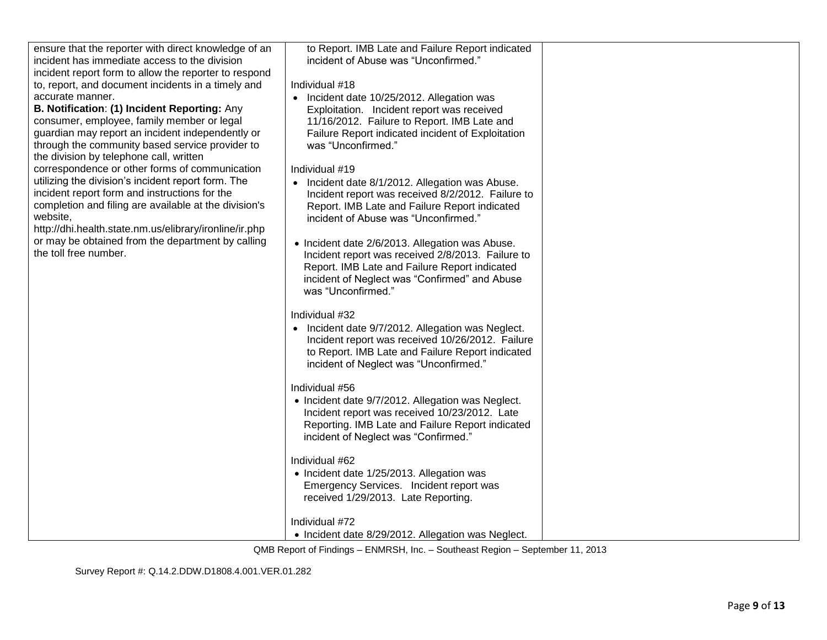| ensure that the reporter with direct knowledge of an<br>incident has immediate access to the division<br>incident report form to allow the reporter to respond<br>to, report, and document incidents in a timely and<br>accurate manner.<br>B. Notification: (1) Incident Reporting: Any<br>consumer, employee, family member or legal<br>guardian may report an incident independently or<br>through the community based service provider to<br>the division by telephone call, written<br>correspondence or other forms of communication<br>utilizing the division's incident report form. The<br>incident report form and instructions for the<br>completion and filing are available at the division's<br>website,<br>http://dhi.health.state.nm.us/elibrary/ironline/ir.php<br>or may be obtained from the department by calling<br>the toll free number. | to Report. IMB Late and Failure Report indicated<br>incident of Abuse was "Unconfirmed."<br>Individual #18<br>• Incident date 10/25/2012. Allegation was<br>Exploitation. Incident report was received<br>11/16/2012. Failure to Report. IMB Late and<br>Failure Report indicated incident of Exploitation<br>was "Unconfirmed."<br>Individual #19<br>• Incident date 8/1/2012. Allegation was Abuse.<br>Incident report was received 8/2/2012. Failure to<br>Report. IMB Late and Failure Report indicated<br>incident of Abuse was "Unconfirmed."<br>• Incident date 2/6/2013. Allegation was Abuse.<br>Incident report was received 2/8/2013. Failure to<br>Report. IMB Late and Failure Report indicated<br>incident of Neglect was "Confirmed" and Abuse<br>was "Unconfirmed."<br>Individual #32<br>• Incident date 9/7/2012. Allegation was Neglect.<br>Incident report was received 10/26/2012. Failure<br>to Report. IMB Late and Failure Report indicated<br>incident of Neglect was "Unconfirmed."<br>Individual #56<br>• Incident date 9/7/2012. Allegation was Neglect.<br>Incident report was received 10/23/2012. Late<br>Reporting. IMB Late and Failure Report indicated |  |
|----------------------------------------------------------------------------------------------------------------------------------------------------------------------------------------------------------------------------------------------------------------------------------------------------------------------------------------------------------------------------------------------------------------------------------------------------------------------------------------------------------------------------------------------------------------------------------------------------------------------------------------------------------------------------------------------------------------------------------------------------------------------------------------------------------------------------------------------------------------|------------------------------------------------------------------------------------------------------------------------------------------------------------------------------------------------------------------------------------------------------------------------------------------------------------------------------------------------------------------------------------------------------------------------------------------------------------------------------------------------------------------------------------------------------------------------------------------------------------------------------------------------------------------------------------------------------------------------------------------------------------------------------------------------------------------------------------------------------------------------------------------------------------------------------------------------------------------------------------------------------------------------------------------------------------------------------------------------------------------------------------------------------------------------------------------|--|
|                                                                                                                                                                                                                                                                                                                                                                                                                                                                                                                                                                                                                                                                                                                                                                                                                                                                | incident of Neglect was "Confirmed."                                                                                                                                                                                                                                                                                                                                                                                                                                                                                                                                                                                                                                                                                                                                                                                                                                                                                                                                                                                                                                                                                                                                                     |  |
|                                                                                                                                                                                                                                                                                                                                                                                                                                                                                                                                                                                                                                                                                                                                                                                                                                                                | Individual #62<br>• Incident date 1/25/2013. Allegation was<br>Emergency Services. Incident report was<br>received 1/29/2013. Late Reporting.                                                                                                                                                                                                                                                                                                                                                                                                                                                                                                                                                                                                                                                                                                                                                                                                                                                                                                                                                                                                                                            |  |
|                                                                                                                                                                                                                                                                                                                                                                                                                                                                                                                                                                                                                                                                                                                                                                                                                                                                | Individual #72<br>• Incident date 8/29/2012. Allegation was Neglect.                                                                                                                                                                                                                                                                                                                                                                                                                                                                                                                                                                                                                                                                                                                                                                                                                                                                                                                                                                                                                                                                                                                     |  |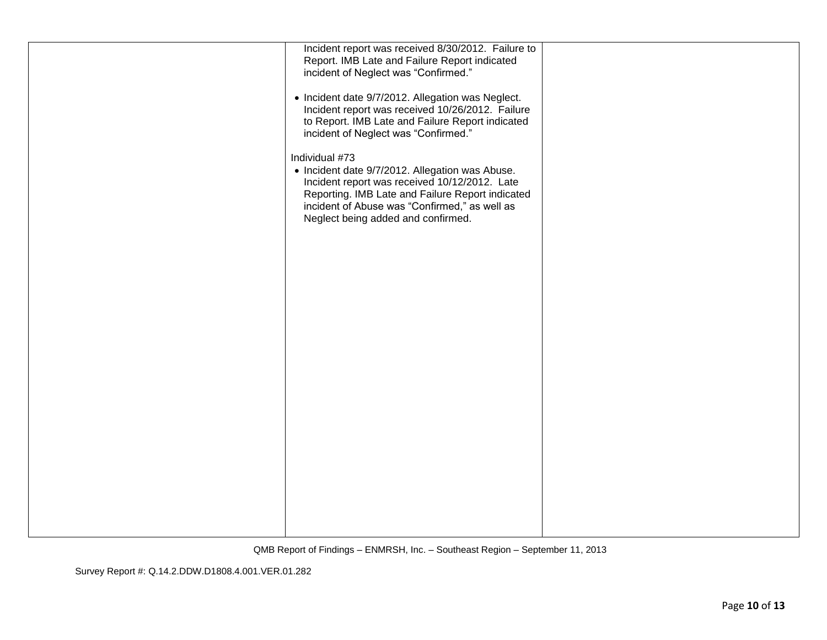| Incident report was received 8/30/2012. Failure to<br>Report. IMB Late and Failure Report indicated<br>incident of Neglect was "Confirmed."<br>• Incident date 9/7/2012. Allegation was Neglect.<br>Incident report was received 10/26/2012. Failure<br>to Report. IMB Late and Failure Report indicated<br>incident of Neglect was "Confirmed."<br>Individual #73<br>• Incident date 9/7/2012. Allegation was Abuse.<br>Incident report was received 10/12/2012. Late<br>Reporting. IMB Late and Failure Report indicated<br>incident of Abuse was "Confirmed," as well as<br>Neglect being added and confirmed. |  |
|-------------------------------------------------------------------------------------------------------------------------------------------------------------------------------------------------------------------------------------------------------------------------------------------------------------------------------------------------------------------------------------------------------------------------------------------------------------------------------------------------------------------------------------------------------------------------------------------------------------------|--|
|                                                                                                                                                                                                                                                                                                                                                                                                                                                                                                                                                                                                                   |  |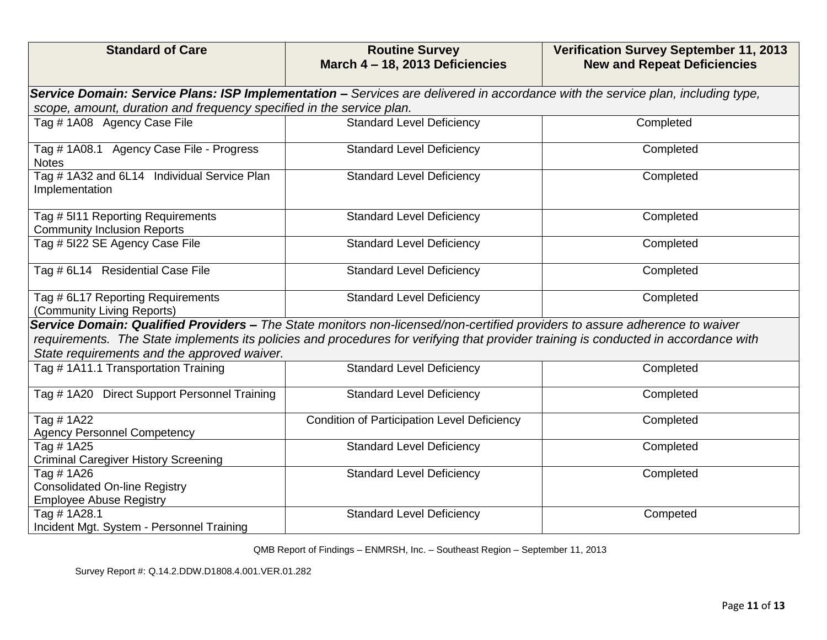| <b>Standard of Care</b>                                                                                                                                                                                                                                                                                           | <b>Routine Survey</b><br>March 4 - 18, 2013 Deficiencies | <b>Verification Survey September 11, 2013</b><br><b>New and Repeat Deficiencies</b> |
|-------------------------------------------------------------------------------------------------------------------------------------------------------------------------------------------------------------------------------------------------------------------------------------------------------------------|----------------------------------------------------------|-------------------------------------------------------------------------------------|
| Service Domain: Service Plans: ISP Implementation - Services are delivered in accordance with the service plan, including type,                                                                                                                                                                                   |                                                          |                                                                                     |
| scope, amount, duration and frequency specified in the service plan.                                                                                                                                                                                                                                              |                                                          |                                                                                     |
| Tag #1A08 Agency Case File                                                                                                                                                                                                                                                                                        | <b>Standard Level Deficiency</b>                         | Completed                                                                           |
| Tag # 1A08.1 Agency Case File - Progress<br><b>Notes</b>                                                                                                                                                                                                                                                          | <b>Standard Level Deficiency</b>                         | Completed                                                                           |
| Tag #1A32 and 6L14 Individual Service Plan<br>Implementation                                                                                                                                                                                                                                                      | <b>Standard Level Deficiency</b>                         | Completed                                                                           |
| Tag # 5I11 Reporting Requirements<br><b>Community Inclusion Reports</b>                                                                                                                                                                                                                                           | <b>Standard Level Deficiency</b>                         | Completed                                                                           |
| Tag # 5I22 SE Agency Case File                                                                                                                                                                                                                                                                                    | <b>Standard Level Deficiency</b>                         | Completed                                                                           |
| Tag # 6L14 Residential Case File                                                                                                                                                                                                                                                                                  | <b>Standard Level Deficiency</b>                         | Completed                                                                           |
| Tag # 6L17 Reporting Requirements<br>(Community Living Reports)                                                                                                                                                                                                                                                   | <b>Standard Level Deficiency</b>                         | Completed                                                                           |
| Service Domain: Qualified Providers - The State monitors non-licensed/non-certified providers to assure adherence to waiver<br>requirements. The State implements its policies and procedures for verifying that provider training is conducted in accordance with<br>State requirements and the approved waiver. |                                                          |                                                                                     |
| Tag # 1A11.1 Transportation Training                                                                                                                                                                                                                                                                              | <b>Standard Level Deficiency</b>                         | Completed                                                                           |
| Tag # 1A20 Direct Support Personnel Training                                                                                                                                                                                                                                                                      | <b>Standard Level Deficiency</b>                         | Completed                                                                           |
| Tag # 1A22<br><b>Agency Personnel Competency</b>                                                                                                                                                                                                                                                                  | <b>Condition of Participation Level Deficiency</b>       | Completed                                                                           |
| Tag #1A25<br><b>Criminal Caregiver History Screening</b>                                                                                                                                                                                                                                                          | <b>Standard Level Deficiency</b>                         | Completed                                                                           |
| Tag # 1A26<br><b>Consolidated On-line Registry</b><br><b>Employee Abuse Registry</b>                                                                                                                                                                                                                              | <b>Standard Level Deficiency</b>                         | Completed                                                                           |
| Tag # 1A28.1<br>Incident Mgt. System - Personnel Training                                                                                                                                                                                                                                                         | <b>Standard Level Deficiency</b>                         | Competed                                                                            |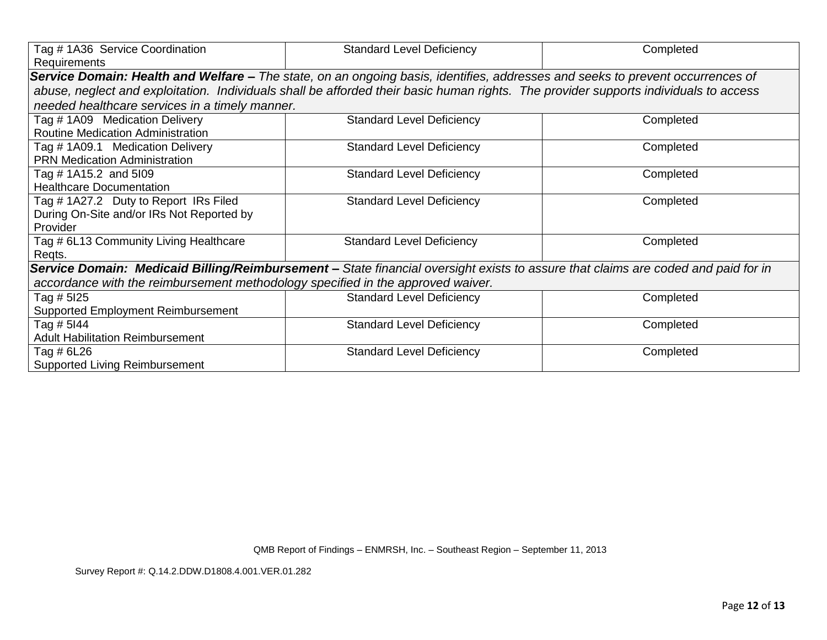| Tag # 1A36 Service Coordination                                                 | <b>Standard Level Deficiency</b>                                                                                                     | Completed |
|---------------------------------------------------------------------------------|--------------------------------------------------------------------------------------------------------------------------------------|-----------|
| Requirements                                                                    |                                                                                                                                      |           |
|                                                                                 | Service Domain: Health and Welfare - The state, on an ongoing basis, identifies, addresses and seeks to prevent occurrences of       |           |
|                                                                                 | abuse, neglect and exploitation. Individuals shall be afforded their basic human rights. The provider supports individuals to access |           |
| needed healthcare services in a timely manner.                                  |                                                                                                                                      |           |
| Tag # 1A09 Medication Delivery                                                  | <b>Standard Level Deficiency</b>                                                                                                     | Completed |
| <b>Routine Medication Administration</b>                                        |                                                                                                                                      |           |
| Tag # 1A09.1 Medication Delivery                                                | <b>Standard Level Deficiency</b>                                                                                                     | Completed |
| <b>PRN Medication Administration</b>                                            |                                                                                                                                      |           |
| Tag # 1A15.2 and 5l09                                                           | <b>Standard Level Deficiency</b>                                                                                                     | Completed |
| <b>Healthcare Documentation</b>                                                 |                                                                                                                                      |           |
| Tag # 1A27.2 Duty to Report IRs Filed                                           | <b>Standard Level Deficiency</b>                                                                                                     | Completed |
| During On-Site and/or IRs Not Reported by                                       |                                                                                                                                      |           |
| Provider                                                                        |                                                                                                                                      |           |
| Tag # 6L13 Community Living Healthcare                                          | <b>Standard Level Deficiency</b>                                                                                                     | Completed |
| Regts.                                                                          |                                                                                                                                      |           |
|                                                                                 | Service Domain: Medicaid Billing/Reimbursement - State financial oversight exists to assure that claims are coded and paid for in    |           |
| accordance with the reimbursement methodology specified in the approved waiver. |                                                                                                                                      |           |
| Tag # 5I25                                                                      | <b>Standard Level Deficiency</b>                                                                                                     | Completed |
| <b>Supported Employment Reimbursement</b>                                       |                                                                                                                                      |           |
| Tag # 5144                                                                      | <b>Standard Level Deficiency</b>                                                                                                     | Completed |
| <b>Adult Habilitation Reimbursement</b>                                         |                                                                                                                                      |           |
| Tag # 6L26                                                                      | <b>Standard Level Deficiency</b>                                                                                                     | Completed |
| Supported Living Reimbursement                                                  |                                                                                                                                      |           |